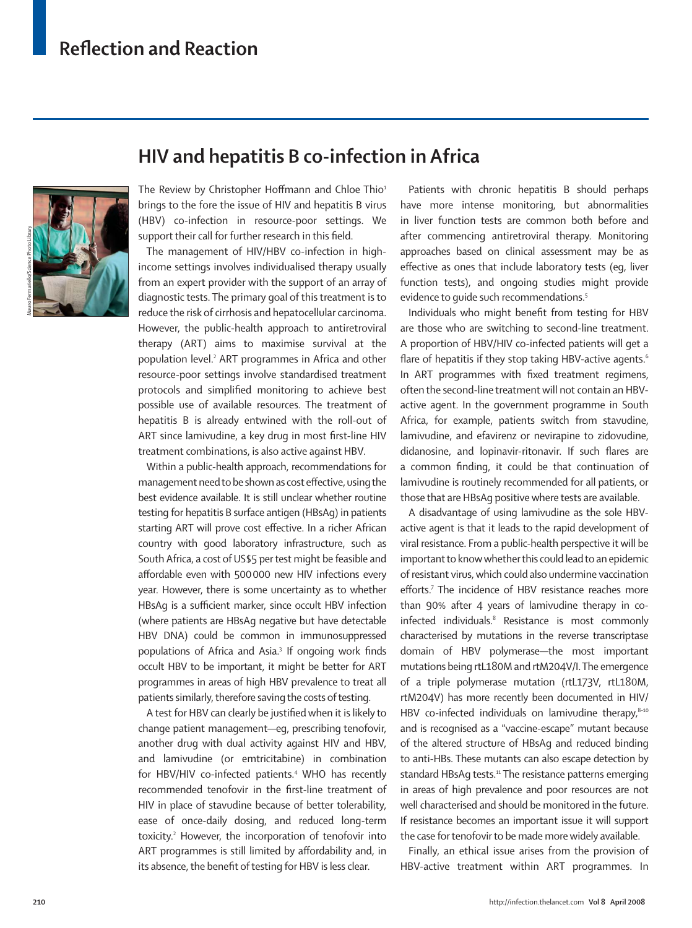

## **HIV and hepatitis B co-infection in Africa**

The Review by Christopher Hoffmann and Chloe Thio $1$ brings to the fore the issue of HIV and hepatitis B virus (HBV) co-infection in resource-poor settings. We support their call for further research in this field.

The management of HIV/HBV co-infection in highincome settings involves individualised therapy usually from an expert provider with the support of an array of diagnostic tests. The primary goal of this treatment is to reduce the risk of cirrhosis and hepatocellular carcinoma. However, the public-health approach to antiretroviral therapy (ART) aims to maximise survival at the population level.2 ART programmes in Africa and other resource-poor settings involve standardised treatment protocols and simplified monitoring to achieve best possible use of available resources. The treatment of hepatitis B is already entwined with the roll-out of ART since lamivudine, a key drug in most first-line HIV treatment combinations, is also active against HBV.

Within a public-health approach, recommendations for management need to be shown as cost effective, using the best evidence available. It is still unclear whether routine testing for hepatitis B surface antigen (HBsAg) in patients starting ART will prove cost effective. In a richer African country with good laboratory infrastructure, such as South Africa, a cost of US\$5 per test might be feasible and affordable even with 500 000 new HIV infections every year. However, there is some uncertainty as to whether HBsAg is a sufficient marker, since occult HBV infection (where patients are HBsAg negative but have detectable HBV DNA) could be common in immunosuppressed populations of Africa and Asia.<sup>3</sup> If ongoing work finds occult HBV to be important, it might be better for ART programmes in areas of high HBV prevalence to treat all patients similarly, therefore saving the costs of testing.

A test for HBV can clearly be justified when it is likely to change patient management—eg, prescribing tenofovir, another drug with dual activity against HIV and HBV, and lamivudine (or emtricitabine) in combination for HBV/HIV co-infected patients.<sup>4</sup> WHO has recently recommended tenofovir in the first-line treatment of HIV in place of stavudine because of better tolerability, ease of once-daily dosing, and reduced long-term toxicity.2 However, the incorporation of tenofovir into ART programmes is still limited by affordability and, in its absence, the benefit of testing for HBV is less clear.

Patients with chronic hepatitis B should perhaps have more intense monitoring, but abnormalities in liver function tests are common both before and after commencing antiretroviral therapy. Monitoring approaches based on clinical assessment may be as effective as ones that include laboratory tests (eg, liver function tests), and ongoing studies might provide evidence to quide such recommendations.<sup>5</sup>

Individuals who might benefit from testing for HBV are those who are switching to second-line treatment. A proportion of HBV/HIV co-infected patients will get a flare of hepatitis if they stop taking HBV-active agents.<sup>6</sup> In ART programmes with fixed treatment regimens, often the second-line treatment will not contain an HBVactive agent. In the government programme in South Africa, for example, patients switch from stavudine, lamivudine, and efavirenz or nevirapine to zidovudine, didanosine, and lopinavir-ritonavir. If such flares are a common finding, it could be that continuation of lamivudine is routinely recommended for all patients, or those that are HBsAg positive where tests are available.

A disadvantage of using lamivudine as the sole HBVactive agent is that it leads to the rapid development of viral resistance. From a public-health perspective it will be important to know whether this could lead to an epidemic of resistant virus, which could also undermine vaccination efforts.<sup>7</sup> The incidence of HBV resistance reaches more than 90% after 4 years of lamivudine therapy in coinfected individuals.<sup>8</sup> Resistance is most commonly characterised by mutations in the reverse transcriptase domain of HBV polymerase—the most important mutations being rtL180M and rtM204V/I. The emergence of a triple polymerase mutation (rtL173V, rtL180M, rtM204V) has more recently been documented in HIV/ HBV co-infected individuals on lamivudine therapy, $8-10$ and is recognised as a "vaccine-escape" mutant because of the altered structure of HBsAg and reduced binding to anti-HBs. These mutants can also escape detection by standard HBsAg tests.<sup>11</sup> The resistance patterns emerging in areas of high prevalence and poor resources are not well characterised and should be monitored in the future. If resistance becomes an important issue it will support the case for tenofovir to be made more widely available.

Finally, an ethical issue arises from the provision of HBV-active treatment within ART programmes. In